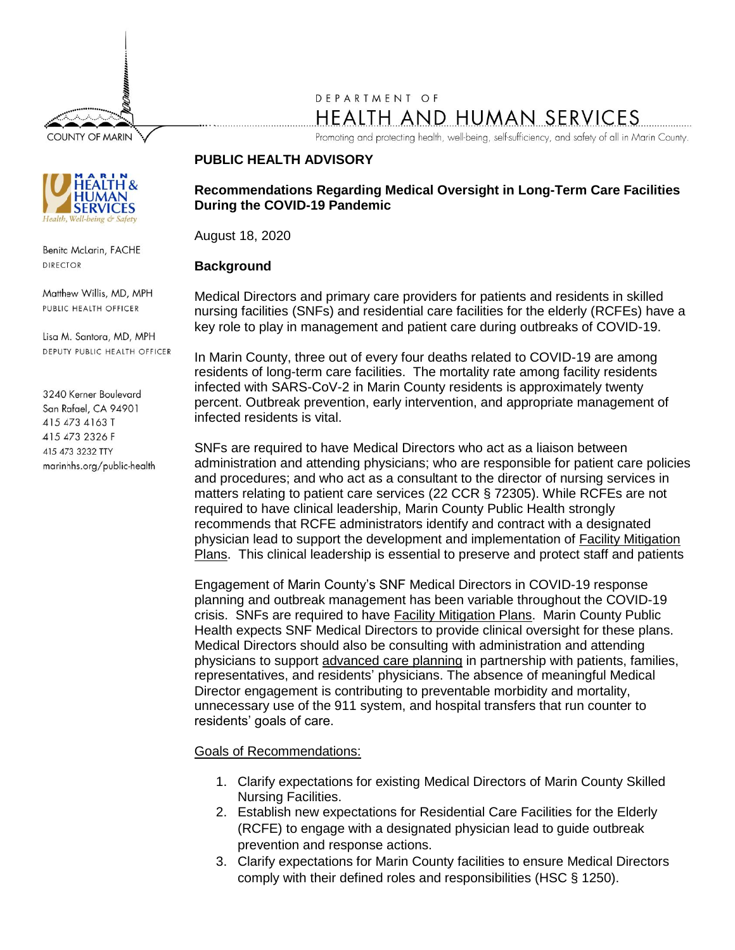**COUNTY OF MARIN** 



Benita McLarin, FACHE **DIRECTOR** 

Matthew Willis, MD, MPH PUBLIC HEALTH OFFICER

Lisa M. Santora, MD, MPH DEPUTY PUBLIC HEALTH OFFICER

3240 Kerner Boulevard San Rafael, CA 94901 415 473 4163 T 415 473 2326 F 415 473 3232 TTY marinhhs.org/public-health

# DEPARTMENT OF HEALTH AND HUMAN SERVICES

Promoting and protecting health, well-being, self-sufficiency, and safety of all in Marin County.

#### **PUBLIC HEALTH ADVISORY**

### **Recommendations Regarding Medical Oversight in Long-Term Care Facilities During the COVID-19 Pandemic**

August 18, 2020

## **Background**

Medical Directors and primary care providers for patients and residents in skilled nursing facilities (SNFs) and residential care facilities for the elderly (RCFEs) have a key role to play in management and patient care during outbreaks of COVID-19.

In Marin County, three out of every four deaths related to COVID-19 are among residents of long-term care facilities. The mortality rate among facility residents infected with SARS-CoV-2 in Marin County residents is approximately twenty percent. Outbreak prevention, early intervention, and appropriate management of infected residents is vital.

SNFs are required to have Medical Directors who act as a liaison between administration and attending physicians; who are responsible for patient care policies and procedures; and who act as a consultant to the director of nursing services in matters relating to patient care services (22 CCR § 72305). While RCFEs are not required to have clinical leadership, Marin County Public Health strongly recommends that RCFE administrators identify and contract with a designated physician lead to support the development and implementation of [Facility Mitigation](https://www.cdph.ca.gov/Programs/CHCQ/LCP/Pages/AFL-20-52.aspx)  [Plans.](https://www.cdph.ca.gov/Programs/CHCQ/LCP/Pages/AFL-20-52.aspx) This clinical leadership is essential to preserve and protect staff and patients

Engagement of Marin County's SNF Medical Directors in COVID-19 response planning and outbreak management has been variable throughout the COVID-19 crisis. SNFs are required to have [Facility Mitigation Plans.](https://www.cdph.ca.gov/Programs/CHCQ/LCP/Pages/AFL-20-52.aspx) Marin County Public Health expects SNF Medical Directors to provide clinical oversight for these plans. Medical Directors should also be consulting with administration and attending physicians to support advanced [care planning](https://www.marinhhs.org/sites/default/files/files/public-health-updates/advisory_covid-19_-_ltcf_-_2020.03.24_1.pdf) in partnership with patients, families, representatives, and residents' physicians. The absence of meaningful Medical Director engagement is contributing to preventable morbidity and mortality, unnecessary use of the 911 system, and hospital transfers that run counter to residents' goals of care.

### Goals of Recommendations:

- 1. Clarify expectations for existing Medical Directors of Marin County Skilled Nursing Facilities.
- 2. Establish new expectations for Residential Care Facilities for the Elderly (RCFE) to engage with a designated physician lead to guide outbreak prevention and response actions.
- 3. Clarify expectations for Marin County facilities to ensure Medical Directors comply with their defined roles and responsibilities (HSC § 1250).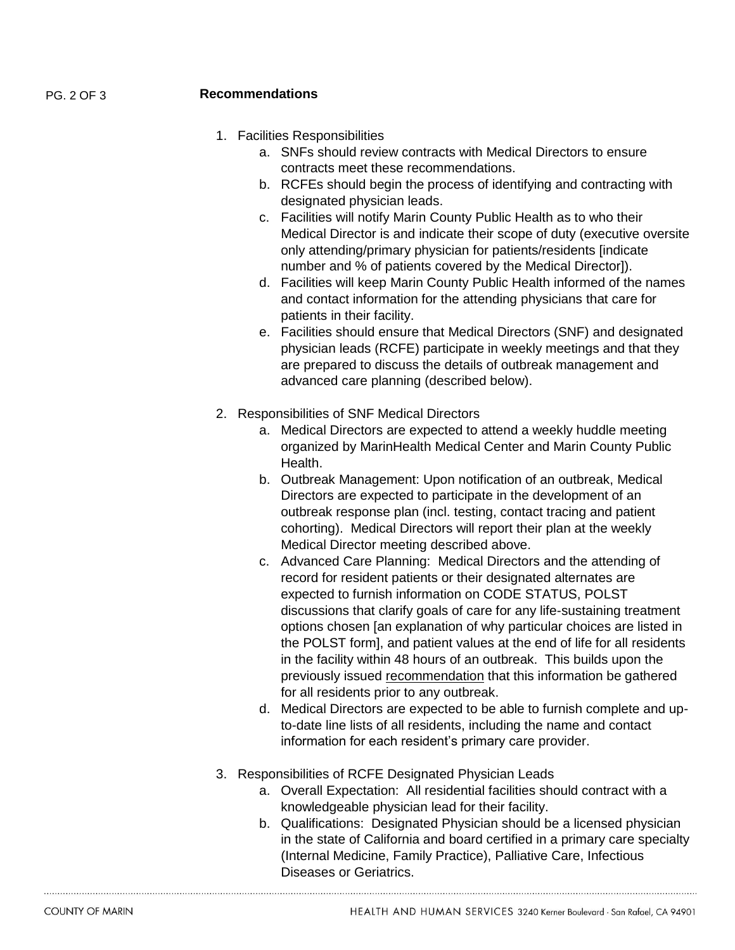#### PG. 2 OF 3 **Recommendations**

- 1. Facilities Responsibilities
	- a. SNFs should review contracts with Medical Directors to ensure contracts meet these recommendations.
	- b. RCFEs should begin the process of identifying and contracting with designated physician leads.
	- c. Facilities will notify Marin County Public Health as to who their Medical Director is and indicate their scope of duty (executive oversite only attending/primary physician for patients/residents [indicate number and % of patients covered by the Medical Director]).
	- d. Facilities will keep Marin County Public Health informed of the names and contact information for the attending physicians that care for patients in their facility.
	- e. Facilities should ensure that Medical Directors (SNF) and designated physician leads (RCFE) participate in weekly meetings and that they are prepared to discuss the details of outbreak management and advanced care planning (described below).
- 2. Responsibilities of SNF Medical Directors
	- a. Medical Directors are expected to attend a weekly huddle meeting organized by MarinHealth Medical Center and Marin County Public Health.
	- b. Outbreak Management: Upon notification of an outbreak, Medical Directors are expected to participate in the development of an outbreak response plan (incl. testing, contact tracing and patient cohorting). Medical Directors will report their plan at the weekly Medical Director meeting described above.
	- c. Advanced Care Planning: Medical Directors and the attending of record for resident patients or their designated alternates are expected to furnish information on CODE STATUS, POLST discussions that clarify goals of care for any life-sustaining treatment options chosen [an explanation of why particular choices are listed in the POLST form], and patient values at the end of life for all residents in the facility within 48 hours of an outbreak. This builds upon the previously issued [recommendation](https://www.marinhhs.org/sites/default/files/files/public-health-updates/advisory_covid-19_-_ltcf_-_2020.03.24_1.pdf) that this information be gathered for all residents prior to any outbreak.
	- d. Medical Directors are expected to be able to furnish complete and upto-date line lists of all residents, including the name and contact information for each resident's primary care provider.
- 3. Responsibilities of RCFE Designated Physician Leads
	- a. Overall Expectation: All residential facilities should contract with a knowledgeable physician lead for their facility.
	- b. Qualifications: Designated Physician should be a licensed physician in the state of California and board certified in a primary care specialty (Internal Medicine, Family Practice), Palliative Care, Infectious Diseases or Geriatrics.